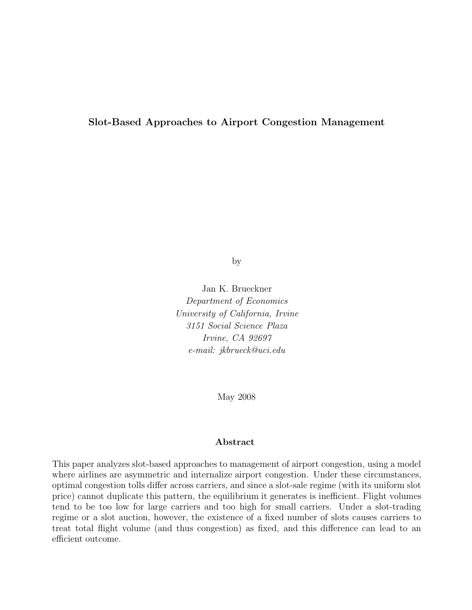### Slot-Based Approaches to Airport Congestion Management

by

Jan K. Brueckner Department of Economics University of California, Irvine 3151 Social Science Plaza Irvine, CA 92697 e-mail: jkbrueck@uci.edu

May 2008

#### Abstract

This paper analyzes slot-based approaches to management of airport congestion, using a model where airlines are asymmetric and internalize airport congestion. Under these circumstances, optimal congestion tolls differ across carriers, and since a slot-sale regime (with its uniform slot price) cannot duplicate this pattern, the equilibrium it generates is inefficient. Flight volumes tend to be too low for large carriers and too high for small carriers. Under a slot-trading regime or a slot auction, however, the existence of a fixed number of slots causes carriers to treat total flight volume (and thus congestion) as fixed, and this difference can lead to an efficient outcome.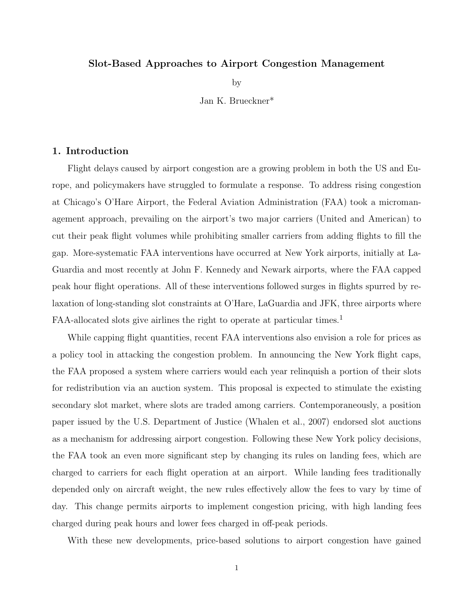#### Slot-Based Approaches to Airport Congestion Management

by

Jan K. Brueckner\*

#### 1. Introduction

Flight delays caused by airport congestion are a growing problem in both the US and Europe, and policymakers have struggled to formulate a response. To address rising congestion at Chicago's O'Hare Airport, the Federal Aviation Administration (FAA) took a micromanagement approach, prevailing on the airport's two major carriers (United and American) to cut their peak flight volumes while prohibiting smaller carriers from adding flights to fill the gap. More-systematic FAA interventions have occurred at New York airports, initially at La-Guardia and most recently at John F. Kennedy and Newark airports, where the FAA capped peak hour flight operations. All of these interventions followed surges in flights spurred by relaxation of long-standing slot constraints at O'Hare, LaGuardia and JFK, three airports where FAA-allocated slots give airlines the right to operate at particular times.<sup>1</sup>

While capping flight quantities, recent FAA interventions also envision a role for prices as a policy tool in attacking the congestion problem. In announcing the New York flight caps, the FAA proposed a system where carriers would each year relinquish a portion of their slots for redistribution via an auction system. This proposal is expected to stimulate the existing secondary slot market, where slots are traded among carriers. Contemporaneously, a position paper issued by the U.S. Department of Justice (Whalen et al., 2007) endorsed slot auctions as a mechanism for addressing airport congestion. Following these New York policy decisions, the FAA took an even more significant step by changing its rules on landing fees, which are charged to carriers for each flight operation at an airport. While landing fees traditionally depended only on aircraft weight, the new rules effectively allow the fees to vary by time of day. This change permits airports to implement congestion pricing, with high landing fees charged during peak hours and lower fees charged in off-peak periods.

With these new developments, price-based solutions to airport congestion have gained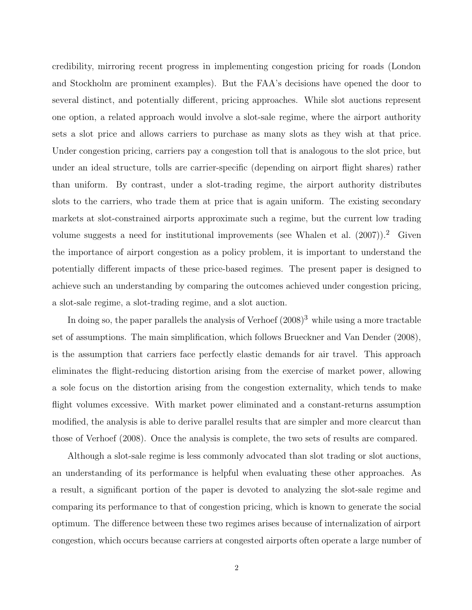credibility, mirroring recent progress in implementing congestion pricing for roads (London and Stockholm are prominent examples). But the FAA's decisions have opened the door to several distinct, and potentially different, pricing approaches. While slot auctions represent one option, a related approach would involve a slot-sale regime, where the airport authority sets a slot price and allows carriers to purchase as many slots as they wish at that price. Under congestion pricing, carriers pay a congestion toll that is analogous to the slot price, but under an ideal structure, tolls are carrier-specific (depending on airport flight shares) rather than uniform. By contrast, under a slot-trading regime, the airport authority distributes slots to the carriers, who trade them at price that is again uniform. The existing secondary markets at slot-constrained airports approximate such a regime, but the current low trading volume suggests a need for institutional improvements (see Whalen et al.  $(2007)$ ).<sup>2</sup> Given the importance of airport congestion as a policy problem, it is important to understand the potentially different impacts of these price-based regimes. The present paper is designed to achieve such an understanding by comparing the outcomes achieved under congestion pricing, a slot-sale regime, a slot-trading regime, and a slot auction.

In doing so, the paper parallels the analysis of Verhoef  $(2008)^3$  while using a more tractable set of assumptions. The main simplification, which follows Brueckner and Van Dender (2008), is the assumption that carriers face perfectly elastic demands for air travel. This approach eliminates the flight-reducing distortion arising from the exercise of market power, allowing a sole focus on the distortion arising from the congestion externality, which tends to make flight volumes excessive. With market power eliminated and a constant-returns assumption modified, the analysis is able to derive parallel results that are simpler and more clearcut than those of Verhoef (2008). Once the analysis is complete, the two sets of results are compared.

Although a slot-sale regime is less commonly advocated than slot trading or slot auctions, an understanding of its performance is helpful when evaluating these other approaches. As a result, a significant portion of the paper is devoted to analyzing the slot-sale regime and comparing its performance to that of congestion pricing, which is known to generate the social optimum. The difference between these two regimes arises because of internalization of airport congestion, which occurs because carriers at congested airports often operate a large number of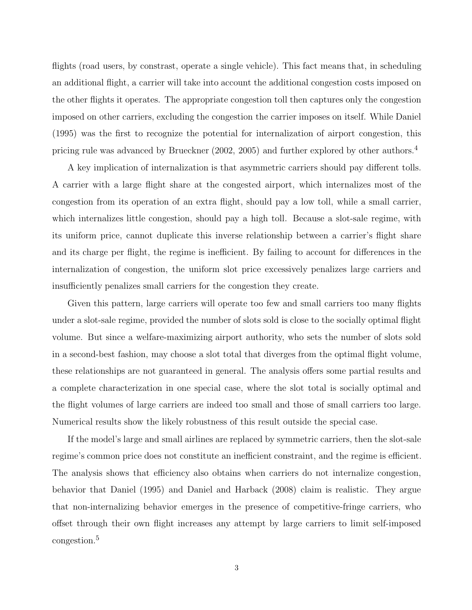flights (road users, by constrast, operate a single vehicle). This fact means that, in scheduling an additional flight, a carrier will take into account the additional congestion costs imposed on the other flights it operates. The appropriate congestion toll then captures only the congestion imposed on other carriers, excluding the congestion the carrier imposes on itself. While Daniel (1995) was the first to recognize the potential for internalization of airport congestion, this pricing rule was advanced by Brueckner (2002, 2005) and further explored by other authors.<sup>4</sup>

A key implication of internalization is that asymmetric carriers should pay different tolls. A carrier with a large flight share at the congested airport, which internalizes most of the congestion from its operation of an extra flight, should pay a low toll, while a small carrier, which internalizes little congestion, should pay a high toll. Because a slot-sale regime, with its uniform price, cannot duplicate this inverse relationship between a carrier's flight share and its charge per flight, the regime is inefficient. By failing to account for differences in the internalization of congestion, the uniform slot price excessively penalizes large carriers and insufficiently penalizes small carriers for the congestion they create.

Given this pattern, large carriers will operate too few and small carriers too many flights under a slot-sale regime, provided the number of slots sold is close to the socially optimal flight volume. But since a welfare-maximizing airport authority, who sets the number of slots sold in a second-best fashion, may choose a slot total that diverges from the optimal flight volume, these relationships are not guaranteed in general. The analysis offers some partial results and a complete characterization in one special case, where the slot total is socially optimal and the flight volumes of large carriers are indeed too small and those of small carriers too large. Numerical results show the likely robustness of this result outside the special case.

If the model's large and small airlines are replaced by symmetric carriers, then the slot-sale regime's common price does not constitute an inefficient constraint, and the regime is efficient. The analysis shows that efficiency also obtains when carriers do not internalize congestion, behavior that Daniel (1995) and Daniel and Harback (2008) claim is realistic. They argue that non-internalizing behavior emerges in the presence of competitive-fringe carriers, who offset through their own flight increases any attempt by large carriers to limit self-imposed congestion.<sup>5</sup>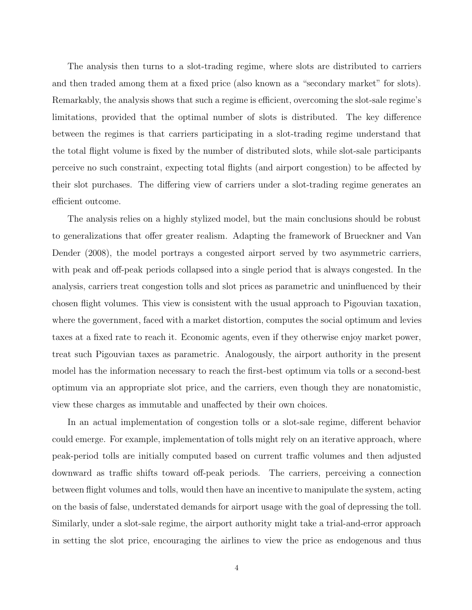The analysis then turns to a slot-trading regime, where slots are distributed to carriers and then traded among them at a fixed price (also known as a "secondary market" for slots). Remarkably, the analysis shows that such a regime is efficient, overcoming the slot-sale regime's limitations, provided that the optimal number of slots is distributed. The key difference between the regimes is that carriers participating in a slot-trading regime understand that the total flight volume is fixed by the number of distributed slots, while slot-sale participants perceive no such constraint, expecting total flights (and airport congestion) to be affected by their slot purchases. The differing view of carriers under a slot-trading regime generates an efficient outcome.

The analysis relies on a highly stylized model, but the main conclusions should be robust to generalizations that offer greater realism. Adapting the framework of Brueckner and Van Dender (2008), the model portrays a congested airport served by two asymmetric carriers, with peak and off-peak periods collapsed into a single period that is always congested. In the analysis, carriers treat congestion tolls and slot prices as parametric and uninfluenced by their chosen flight volumes. This view is consistent with the usual approach to Pigouvian taxation, where the government, faced with a market distortion, computes the social optimum and levies taxes at a fixed rate to reach it. Economic agents, even if they otherwise enjoy market power, treat such Pigouvian taxes as parametric. Analogously, the airport authority in the present model has the information necessary to reach the first-best optimum via tolls or a second-best optimum via an appropriate slot price, and the carriers, even though they are nonatomistic, view these charges as immutable and unaffected by their own choices.

In an actual implementation of congestion tolls or a slot-sale regime, different behavior could emerge. For example, implementation of tolls might rely on an iterative approach, where peak-period tolls are initially computed based on current traffic volumes and then adjusted downward as traffic shifts toward off-peak periods. The carriers, perceiving a connection between flight volumes and tolls, would then have an incentive to manipulate the system, acting on the basis of false, understated demands for airport usage with the goal of depressing the toll. Similarly, under a slot-sale regime, the airport authority might take a trial-and-error approach in setting the slot price, encouraging the airlines to view the price as endogenous and thus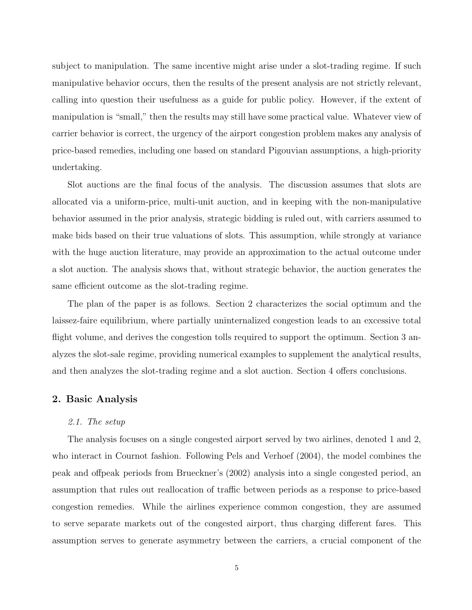subject to manipulation. The same incentive might arise under a slot-trading regime. If such manipulative behavior occurs, then the results of the present analysis are not strictly relevant, calling into question their usefulness as a guide for public policy. However, if the extent of manipulation is "small," then the results may still have some practical value. Whatever view of carrier behavior is correct, the urgency of the airport congestion problem makes any analysis of price-based remedies, including one based on standard Pigouvian assumptions, a high-priority undertaking.

Slot auctions are the final focus of the analysis. The discussion assumes that slots are allocated via a uniform-price, multi-unit auction, and in keeping with the non-manipulative behavior assumed in the prior analysis, strategic bidding is ruled out, with carriers assumed to make bids based on their true valuations of slots. This assumption, while strongly at variance with the huge auction literature, may provide an approximation to the actual outcome under a slot auction. The analysis shows that, without strategic behavior, the auction generates the same efficient outcome as the slot-trading regime.

The plan of the paper is as follows. Section 2 characterizes the social optimum and the laissez-faire equilibrium, where partially uninternalized congestion leads to an excessive total flight volume, and derives the congestion tolls required to support the optimum. Section 3 analyzes the slot-sale regime, providing numerical examples to supplement the analytical results, and then analyzes the slot-trading regime and a slot auction. Section 4 offers conclusions.

#### 2. Basic Analysis

#### 2.1. The setup

The analysis focuses on a single congested airport served by two airlines, denoted 1 and 2, who interact in Cournot fashion. Following Pels and Verhoef (2004), the model combines the peak and offpeak periods from Brueckner's (2002) analysis into a single congested period, an assumption that rules out reallocation of traffic between periods as a response to price-based congestion remedies. While the airlines experience common congestion, they are assumed to serve separate markets out of the congested airport, thus charging different fares. This assumption serves to generate asymmetry between the carriers, a crucial component of the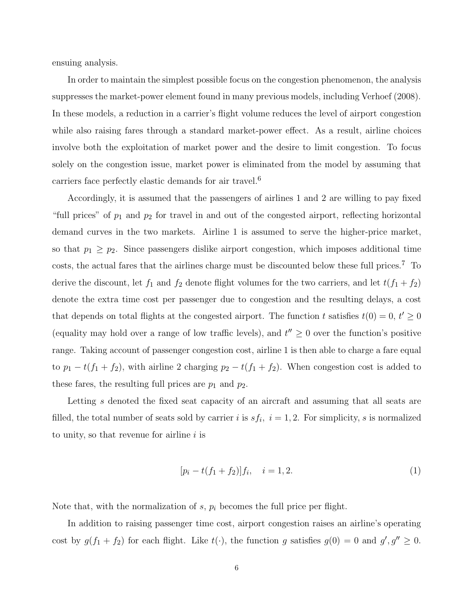ensuing analysis.

In order to maintain the simplest possible focus on the congestion phenomenon, the analysis suppresses the market-power element found in many previous models, including Verhoef (2008). In these models, a reduction in a carrier's flight volume reduces the level of airport congestion while also raising fares through a standard market-power effect. As a result, airline choices involve both the exploitation of market power and the desire to limit congestion. To focus solely on the congestion issue, market power is eliminated from the model by assuming that carriers face perfectly elastic demands for air travel.<sup>6</sup>

Accordingly, it is assumed that the passengers of airlines 1 and 2 are willing to pay fixed "full prices" of  $p_1$  and  $p_2$  for travel in and out of the congested airport, reflecting horizontal demand curves in the two markets. Airline 1 is assumed to serve the higher-price market, so that  $p_1 \geq p_2$ . Since passengers dislike airport congestion, which imposes additional time costs, the actual fares that the airlines charge must be discounted below these full prices.<sup>7</sup> To derive the discount, let  $f_1$  and  $f_2$  denote flight volumes for the two carriers, and let  $t(f_1 + f_2)$ denote the extra time cost per passenger due to congestion and the resulting delays, a cost that depends on total flights at the congested airport. The function t satisfies  $t(0) = 0, t' \geq 0$ (equality may hold over a range of low traffic levels), and  $t'' \geq 0$  over the function's positive range. Taking account of passenger congestion cost, airline 1 is then able to charge a fare equal to  $p_1 - t(f_1 + f_2)$ , with airline 2 charging  $p_2 - t(f_1 + f_2)$ . When congestion cost is added to these fares, the resulting full prices are  $p_1$  and  $p_2$ .

Letting s denoted the fixed seat capacity of an aircraft and assuming that all seats are filled, the total number of seats sold by carrier i is  $sf_i$ ,  $i = 1, 2$ . For simplicity, s is normalized to unity, so that revenue for airline  $i$  is

$$
[p_i - t(f_1 + f_2)]f_i, \quad i = 1, 2. \tag{1}
$$

Note that, with the normalization of s,  $p_i$  becomes the full price per flight.

In addition to raising passenger time cost, airport congestion raises an airline's operating cost by  $g(f_1 + f_2)$  for each flight. Like  $t(\cdot)$ , the function g satisfies  $g(0) = 0$  and  $g', g'' \ge 0$ .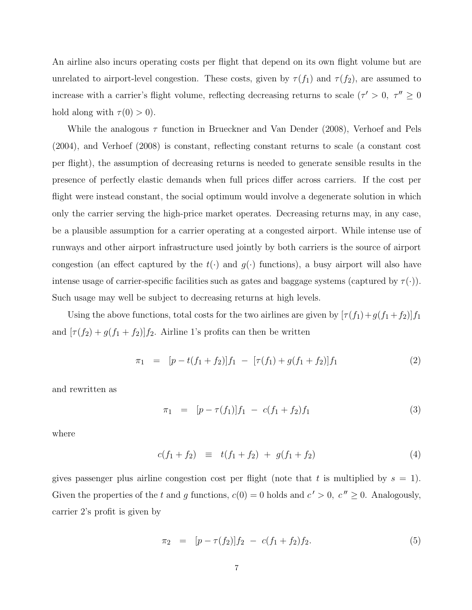An airline also incurs operating costs per flight that depend on its own flight volume but are unrelated to airport-level congestion. These costs, given by  $\tau(f_1)$  and  $\tau(f_2)$ , are assumed to increase with a carrier's flight volume, reflecting decreasing returns to scale  $(\tau' > 0, \tau'' \ge 0)$ hold along with  $\tau(0) > 0$ ).

While the analogous  $\tau$  function in Brueckner and Van Dender (2008), Verhoef and Pels (2004), and Verhoef (2008) is constant, reflecting constant returns to scale (a constant cost per flight), the assumption of decreasing returns is needed to generate sensible results in the presence of perfectly elastic demands when full prices differ across carriers. If the cost per flight were instead constant, the social optimum would involve a degenerate solution in which only the carrier serving the high-price market operates. Decreasing returns may, in any case, be a plausible assumption for a carrier operating at a congested airport. While intense use of runways and other airport infrastructure used jointly by both carriers is the source of airport congestion (an effect captured by the  $t(\cdot)$  and  $g(\cdot)$  functions), a busy airport will also have intense usage of carrier-specific facilities such as gates and baggage systems (captured by  $\tau(\cdot)$ ). Such usage may well be subject to decreasing returns at high levels.

Using the above functions, total costs for the two airlines are given by  $[\tau(f_1) + g(f_1 + f_2)]f_1$ and  $[\tau(f_2) + g(f_1 + f_2)]f_2$ . Airline 1's profits can then be written

$$
\pi_1 = [p - t(f_1 + f_2)]f_1 - [\tau(f_1) + g(f_1 + f_2)]f_1 \tag{2}
$$

and rewritten as

$$
\pi_1 = [p - \tau(f_1)]f_1 - c(f_1 + f_2)f_1 \tag{3}
$$

where

$$
c(f_1 + f_2) \equiv t(f_1 + f_2) + g(f_1 + f_2) \tag{4}
$$

gives passenger plus airline congestion cost per flight (note that t is multiplied by  $s = 1$ ). Given the properties of the t and g functions,  $c(0) = 0$  holds and  $c' > 0$ ,  $c'' \ge 0$ . Analogously, carrier 2's profit is given by

$$
\pi_2 = [p - \tau(f_2)]f_2 - c(f_1 + f_2)f_2. \tag{5}
$$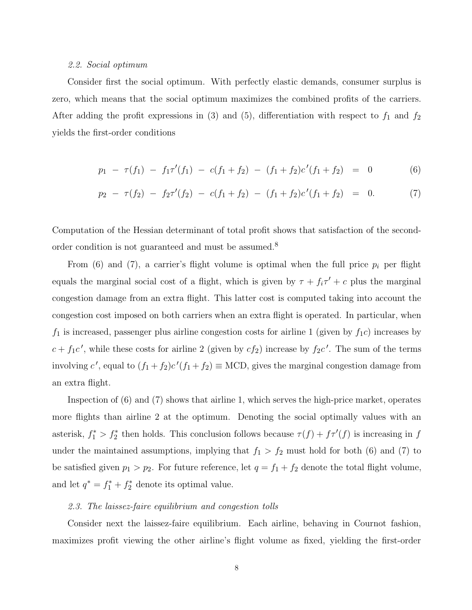#### 2.2. Social optimum

Consider first the social optimum. With perfectly elastic demands, consumer surplus is zero, which means that the social optimum maximizes the combined profits of the carriers. After adding the profit expressions in (3) and (5), differentiation with respect to  $f_1$  and  $f_2$ yields the first-order conditions

$$
p_1 - \tau(f_1) - f_1 \tau'(f_1) - c(f_1 + f_2) - (f_1 + f_2)c'(f_1 + f_2) = 0 \tag{6}
$$

$$
p_2 - \tau(f_2) - f_2 \tau'(f_2) - c(f_1 + f_2) - (f_1 + f_2)c'(f_1 + f_2) = 0. \tag{7}
$$

Computation of the Hessian determinant of total profit shows that satisfaction of the secondorder condition is not guaranteed and must be assumed.<sup>8</sup>

From (6) and (7), a carrier's flight volume is optimal when the full price  $p_i$  per flight equals the marginal social cost of a flight, which is given by  $\tau + f_i \tau' + c$  plus the marginal congestion damage from an extra flight. This latter cost is computed taking into account the congestion cost imposed on both carriers when an extra flight is operated. In particular, when  $f_1$  is increased, passenger plus airline congestion costs for airline 1 (given by  $f_1c$ ) increases by  $c + f_1c'$ , while these costs for airline 2 (given by  $cf_2$ ) increase by  $f_2c'$ . The sum of the terms involving c', equal to  $(f_1 + f_2)c'(f_1 + f_2) \equiv$  MCD, gives the marginal congestion damage from an extra flight.

Inspection of (6) and (7) shows that airline 1, which serves the high-price market, operates more flights than airline 2 at the optimum. Denoting the social optimally values with an asterisk,  $f_1^* > f_2^*$  then holds. This conclusion follows because  $\tau(f) + f\tau'(f)$  is increasing in f under the maintained assumptions, implying that  $f_1 > f_2$  must hold for both (6) and (7) to be satisfied given  $p_1 > p_2$ . For future reference, let  $q = f_1 + f_2$  denote the total flight volume, and let  $q^* = f_1^* + f_2^*$ <sup>\*</sup>/<sub>2</sub></sub> denote its optimal value.

#### 2.3. The laissez-faire equilibrium and congestion tolls

Consider next the laissez-faire equilibrium. Each airline, behaving in Cournot fashion, maximizes profit viewing the other airline's flight volume as fixed, yielding the first-order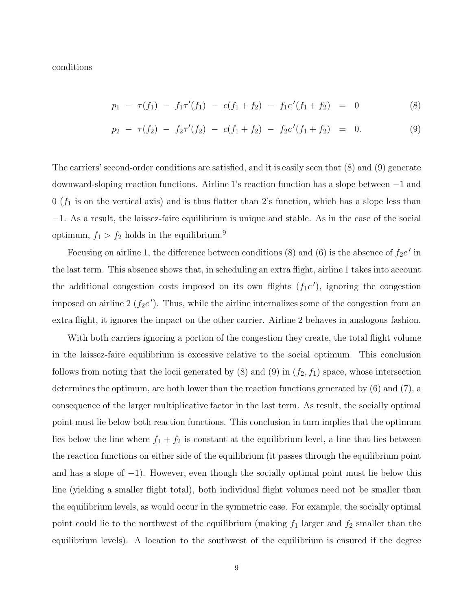conditions

$$
p_1 - \tau(f_1) - f_1 \tau'(f_1) - c(f_1 + f_2) - f_1 c'(f_1 + f_2) = 0 \tag{8}
$$

$$
p_2 - \tau(f_2) - f_2 \tau'(f_2) - c(f_1 + f_2) - f_2 c'(f_1 + f_2) = 0.
$$
 (9)

The carriers' second-order conditions are satisfied, and it is easily seen that (8) and (9) generate downward-sloping reaction functions. Airline 1's reaction function has a slope between −1 and  $0$  ( $f_1$  is on the vertical axis) and is thus flatter than 2's function, which has a slope less than −1. As a result, the laissez-faire equilibrium is unique and stable. As in the case of the social optimum,  $f_1 > f_2$  holds in the equilibrium.<sup>9</sup>

Focusing on airline 1, the difference between conditions (8) and (6) is the absence of  $f_2c'$  in the last term. This absence shows that, in scheduling an extra flight, airline 1 takes into account the additional congestion costs imposed on its own flights  $(f_1c')$ , ignoring the congestion imposed on airline  $2(f_2c')$ . Thus, while the airline internalizes some of the congestion from an extra flight, it ignores the impact on the other carrier. Airline 2 behaves in analogous fashion.

With both carriers ignoring a portion of the congestion they create, the total flight volume in the laissez-faire equilibrium is excessive relative to the social optimum. This conclusion follows from noting that the locii generated by (8) and (9) in  $(f_2, f_1)$  space, whose intersection determines the optimum, are both lower than the reaction functions generated by (6) and (7), a consequence of the larger multiplicative factor in the last term. As result, the socially optimal point must lie below both reaction functions. This conclusion in turn implies that the optimum lies below the line where  $f_1 + f_2$  is constant at the equilibrium level, a line that lies between the reaction functions on either side of the equilibrium (it passes through the equilibrium point and has a slope of −1). However, even though the socially optimal point must lie below this line (yielding a smaller flight total), both individual flight volumes need not be smaller than the equilibrium levels, as would occur in the symmetric case. For example, the socially optimal point could lie to the northwest of the equilibrium (making  $f_1$  larger and  $f_2$  smaller than the equilibrium levels). A location to the southwest of the equilibrium is ensured if the degree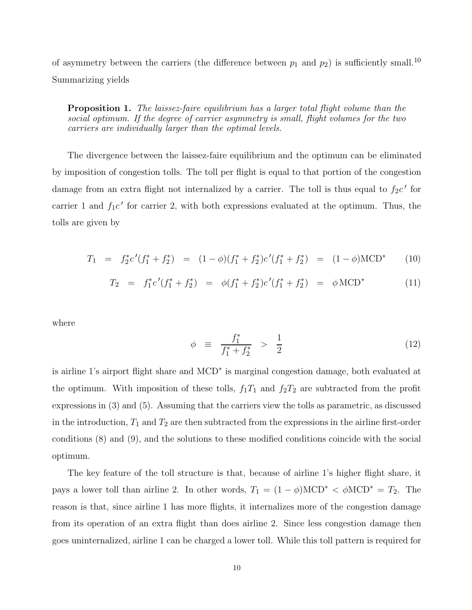of asymmetry between the carriers (the difference between  $p_1$  and  $p_2$ ) is sufficiently small.<sup>10</sup> Summarizing yields

**Proposition 1.** The laissez-faire equilibrium has a larger total flight volume than the social optimum. If the degree of carrier asymmetry is small, flight volumes for the two carriers are individually larger than the optimal levels.

The divergence between the laissez-faire equilibrium and the optimum can be eliminated by imposition of congestion tolls. The toll per flight is equal to that portion of the congestion damage from an extra flight not internalized by a carrier. The toll is thus equal to  $f_2c'$  for carrier 1 and  $f_1c'$  for carrier 2, with both expressions evaluated at the optimum. Thus, the tolls are given by

$$
T_1 = f_2^* c'(f_1^* + f_2^*) = (1 - \phi)(f_1^* + f_2^*) c'(f_1^* + f_2^*) = (1 - \phi) \text{MCD}^*
$$
 (10)

$$
T_2 = f_1^* c'(f_1^* + f_2^*) = \phi(f_1^* + f_2^*) c'(f_1^* + f_2^*) = \phi \text{MCD}^* \tag{11}
$$

where

$$
\phi \equiv \frac{f_1^*}{f_1^* + f_2^*} > \frac{1}{2} \tag{12}
$$

is airline 1's airport flight share and MCD<sup>∗</sup> is marginal congestion damage, both evaluated at the optimum. With imposition of these tolls,  $f_1T_1$  and  $f_2T_2$  are subtracted from the profit expressions in (3) and (5). Assuming that the carriers view the tolls as parametric, as discussed in the introduction,  $T_1$  and  $T_2$  are then subtracted from the expressions in the airline first-order conditions (8) and (9), and the solutions to these modified conditions coincide with the social optimum.

The key feature of the toll structure is that, because of airline 1's higher flight share, it pays a lower toll than airline 2. In other words,  $T_1 = (1 - \phi) \text{MCD}^* < \phi \text{MCD}^* = T_2$ . The reason is that, since airline 1 has more flights, it internalizes more of the congestion damage from its operation of an extra flight than does airline 2. Since less congestion damage then goes uninternalized, airline 1 can be charged a lower toll. While this toll pattern is required for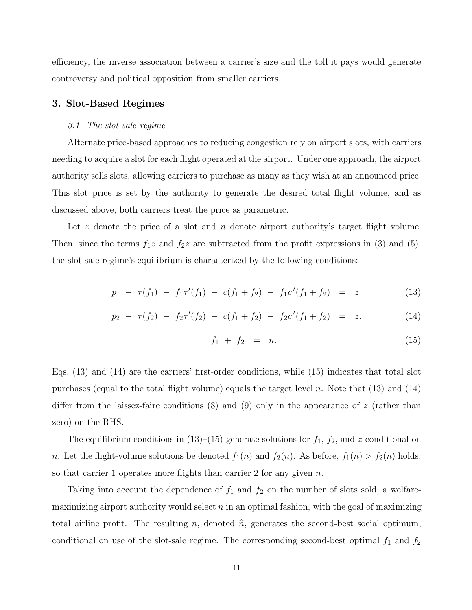efficiency, the inverse association between a carrier's size and the toll it pays would generate controversy and political opposition from smaller carriers.

#### 3. Slot-Based Regimes

#### 3.1. The slot-sale regime

Alternate price-based approaches to reducing congestion rely on airport slots, with carriers needing to acquire a slot for each flight operated at the airport. Under one approach, the airport authority sells slots, allowing carriers to purchase as many as they wish at an announced price. This slot price is set by the authority to generate the desired total flight volume, and as discussed above, both carriers treat the price as parametric.

Let z denote the price of a slot and n denote airport authority's target flight volume. Then, since the terms  $f_1z$  and  $f_2z$  are subtracted from the profit expressions in (3) and (5), the slot-sale regime's equilibrium is characterized by the following conditions:

$$
p_1 - \tau(f_1) - f_1 \tau'(f_1) - c(f_1 + f_2) - f_1 c'(f_1 + f_2) = z \tag{13}
$$

$$
p_2 - \tau(f_2) - f_2 \tau'(f_2) - c(f_1 + f_2) - f_2 c'(f_1 + f_2) = z.
$$
 (14)

$$
f_1 + f_2 = n. \t\t(15)
$$

Eqs. (13) and (14) are the carriers' first-order conditions, while (15) indicates that total slot purchases (equal to the total flight volume) equals the target level n. Note that  $(13)$  and  $(14)$ differ from the laissez-faire conditions  $(8)$  and  $(9)$  only in the appearance of z (rather than zero) on the RHS.

The equilibrium conditions in  $(13)$ – $(15)$  generate solutions for  $f_1$ ,  $f_2$ , and z conditional on n. Let the flight-volume solutions be denoted  $f_1(n)$  and  $f_2(n)$ . As before,  $f_1(n) > f_2(n)$  holds, so that carrier 1 operates more flights than carrier 2 for any given  $n$ .

Taking into account the dependence of  $f_1$  and  $f_2$  on the number of slots sold, a welfaremaximizing airport authority would select  $n$  in an optimal fashion, with the goal of maximizing total airline profit. The resulting n, denoted  $\hat{n}$ , generates the second-best social optimum, conditional on use of the slot-sale regime. The corresponding second-best optimal  $f_1$  and  $f_2$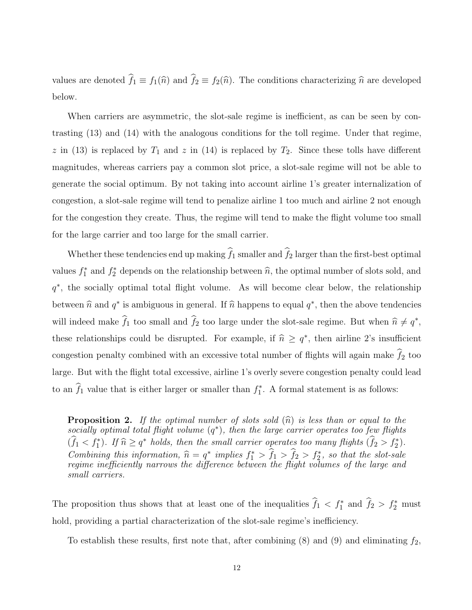values are denoted  $\hat{f}_1 \equiv f_1(\hat{n})$  and  $\hat{f}_2 \equiv f_2(\hat{n})$ . The conditions characterizing  $\hat{n}$  are developed below.

When carriers are asymmetric, the slot-sale regime is inefficient, as can be seen by contrasting (13) and (14) with the analogous conditions for the toll regime. Under that regime, z in (13) is replaced by  $T_1$  and z in (14) is replaced by  $T_2$ . Since these tolls have different magnitudes, whereas carriers pay a common slot price, a slot-sale regime will not be able to generate the social optimum. By not taking into account airline 1's greater internalization of congestion, a slot-sale regime will tend to penalize airline 1 too much and airline 2 not enough for the congestion they create. Thus, the regime will tend to make the flight volume too small for the large carrier and too large for the small carrier.

Whether these tendencies end up making  $\widehat{f}_1$  smaller and  $\widehat{f}_2$  larger than the first-best optimal values  $f_1^*$  and  $f_2^*$  depends on the relationship between  $\hat{n}$ , the optimal number of slots sold, and  $q^*$ , the socially optimal total flight volume. As will become clear below, the relationship between  $\hat{n}$  and  $q^*$  is ambiguous in general. If  $\hat{n}$  happens to equal  $q^*$ , then the above tendencies will indeed make  $\widehat{f}_1$  too small and  $\widehat{f}_2$  too large under the slot-sale regime. But when  $\widehat{n} \neq q^*$ , these relationships could be disrupted. For example, if  $\hat{n} \geq q^*$ , then airline 2's insufficient congestion penalty combined with an excessive total number of flights will again make  $f_2$  too large. But with the flight total excessive, airline 1's overly severe congestion penalty could lead to an  $\hat{f}_1$  value that is either larger or smaller than  $f_1^*$ . A formal statement is as follows:

**Proposition 2.** If the optimal number of slots sold  $(\hat{n})$  is less than or equal to the  $socially optimal total flight volume  $(q^*)$ , then the large carrier operates too few flights$  $(\widehat{f}_1 < f_1^*)$ . If  $\widehat{n} \geq q^*$  holds, then the small carrier operates too many flights  $(\widehat{f}_2 > f_2^*)$ . Combining this information,  $\hat{n} = q^*$  implies  $f_1^* > \hat{f}_1 > \hat{f}_2 > f_2^*$ , so that the slot-sale regime inefficiently narrows the difference between the flight volumes of the large and small carriers.

The proposition thus shows that at least one of the inequalities  $\hat{f}_1 < f_1^*$  and  $\hat{f}_2 > f_2^*$  must hold, providing a partial characterization of the slot-sale regime's inefficiency.

To establish these results, first note that, after combining  $(8)$  and  $(9)$  and eliminating  $f_2$ ,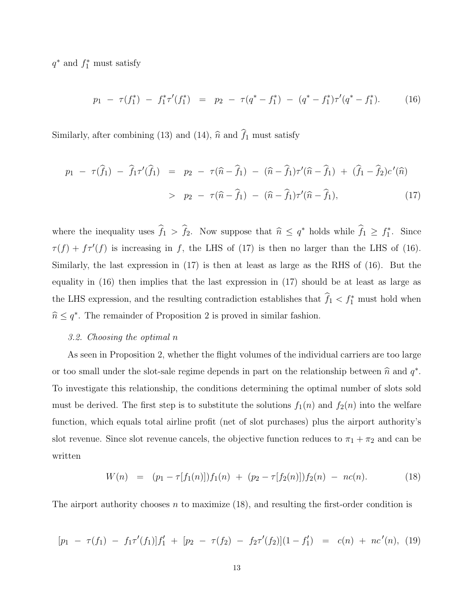$q^*$  and  $f_1^*$  must satisfy

$$
p_1 - \tau(f_1^*) - f_1^* \tau'(f_1^*) = p_2 - \tau(q^* - f_1^*) - (q^* - f_1^*) \tau'(q^* - f_1^*).
$$
 (16)

Similarly, after combining (13) and (14),  $\hat{n}$  and  $\hat{f}_1$  must satisfy

$$
p_1 - \tau(\hat{f}_1) - \hat{f}_1 \tau'(\hat{f}_1) = p_2 - \tau(\hat{n} - \hat{f}_1) - (\hat{n} - \hat{f}_1) \tau'(\hat{n} - \hat{f}_1) + (\hat{f}_1 - \hat{f}_2) c'(\hat{n})
$$
  
> 
$$
p_2 - \tau(\hat{n} - \hat{f}_1) - (\hat{n} - \hat{f}_1) \tau'(\hat{n} - \hat{f}_1), \qquad (17)
$$

where the inequality uses  $\hat{f}_1 > \hat{f}_2$ . Now suppose that  $\hat{n} \leq q^*$  holds while  $\hat{f}_1 \geq f_1^*$ . Since  $\tau(f) + f\tau'(f)$  is increasing in f, the LHS of (17) is then no larger than the LHS of (16). Similarly, the last expression in (17) is then at least as large as the RHS of (16). But the equality in (16) then implies that the last expression in (17) should be at least as large as the LHS expression, and the resulting contradiction establishes that  $\hat{f}_1 < f_1^*$  must hold when  $\hat{n} \leq q^*$ . The remainder of Proposition 2 is proved in similar fashion.

#### 3.2. Choosing the optimal n

As seen in Proposition 2, whether the flight volumes of the individual carriers are too large or too small under the slot-sale regime depends in part on the relationship between  $\hat{n}$  and  $q^*$ . To investigate this relationship, the conditions determining the optimal number of slots sold must be derived. The first step is to substitute the solutions  $f_1(n)$  and  $f_2(n)$  into the welfare function, which equals total airline profit (net of slot purchases) plus the airport authority's slot revenue. Since slot revenue cancels, the objective function reduces to  $\pi_1 + \pi_2$  and can be written

$$
W(n) = (p_1 - \tau[f_1(n)]) f_1(n) + (p_2 - \tau[f_2(n)]) f_2(n) - nc(n). \tag{18}
$$

The airport authority chooses n to maximize  $(18)$ , and resulting the first-order condition is

$$
[p_1 - \tau(f_1) - f_1 \tau'(f_1)]f'_1 + [p_2 - \tau(f_2) - f_2 \tau'(f_2)](1 - f'_1) = c(n) + nc'(n), (19)
$$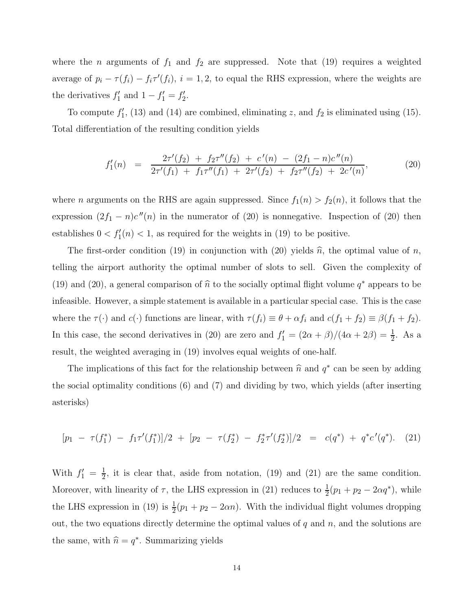where the *n* arguments of  $f_1$  and  $f_2$  are suppressed. Note that (19) requires a weighted average of  $p_i - \tau(f_i) - f_i \tau'(f_i)$ ,  $i = 1, 2$ , to equal the RHS expression, where the weights are the derivatives  $f'_1$  and  $1 - f'_1 = f'_2$ .

To compute  $f'_1$ , (13) and (14) are combined, eliminating z, and  $f_2$  is eliminated using (15). Total differentiation of the resulting condition yields

$$
f'_1(n) = \frac{2\tau'(f_2) + f_2\tau''(f_2) + c'(n) - (2f_1 - n)c''(n)}{2\tau'(f_1) + f_1\tau''(f_1) + 2\tau'(f_2) + f_2\tau''(f_2) + 2c'(n)},
$$
\n(20)

where *n* arguments on the RHS are again suppressed. Since  $f_1(n) > f_2(n)$ , it follows that the expression  $(2f_1 - n)c''(n)$  in the numerator of (20) is nonnegative. Inspection of (20) then establishes  $0 < f'_1(n) < 1$ , as required for the weights in (19) to be positive.

The first-order condition (19) in conjunction with (20) yields  $\hat{n}$ , the optimal value of n, telling the airport authority the optimal number of slots to sell. Given the complexity of (19) and (20), a general comparison of  $\hat{n}$  to the socially optimal flight volume  $q^*$  appears to be infeasible. However, a simple statement is available in a particular special case. This is the case where the  $\tau(\cdot)$  and  $c(\cdot)$  functions are linear, with  $\tau(f_i) \equiv \theta + \alpha f_i$  and  $c(f_1 + f_2) \equiv \beta(f_1 + f_2)$ . In this case, the second derivatives in (20) are zero and  $f_1' = (2\alpha + \beta)/(4\alpha + 2\beta) = \frac{1}{2}$ . As a result, the weighted averaging in (19) involves equal weights of one-half.

The implications of this fact for the relationship between  $\hat{n}$  and  $q^*$  can be seen by adding the social optimality conditions (6) and (7) and dividing by two, which yields (after inserting asterisks)

$$
[p_1 - \tau(f_1^*) - f_1 \tau'(f_1^*)]/2 + [p_2 - \tau(f_2^*) - f_2^* \tau'(f_2^*)]/2 = c(q^*) + q^* c'(q^*).
$$
 (21)

With  $f_1' = \frac{1}{2}$  $\frac{1}{2}$ , it is clear that, aside from notation, (19) and (21) are the same condition. Moreover, with linearity of  $\tau$ , the LHS expression in (21) reduces to  $\frac{1}{2}(p_1 + p_2 - 2\alpha q^*)$ , while the LHS expression in (19) is  $\frac{1}{2}(p_1 + p_2 - 2\alpha n)$ . With the individual flight volumes dropping out, the two equations directly determine the optimal values of  $q$  and  $n$ , and the solutions are the same, with  $\hat{n} = q^*$ . Summarizing yields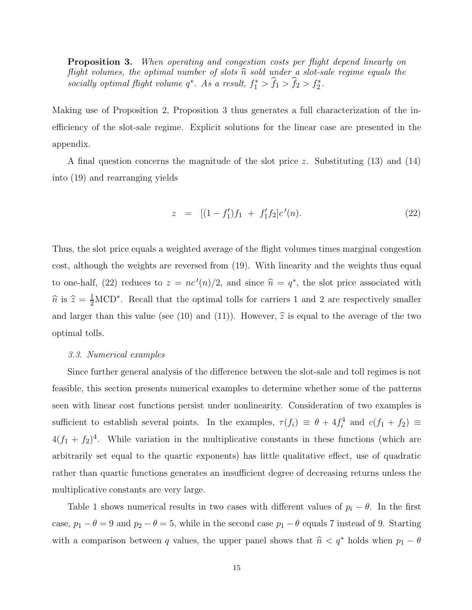**Proposition 3.** When operating and congestion costs per flight depend linearly on flight volumes, the optimal number of slots  $\hat{n}$  sold under a slot-sale regime equals the socially optimal flight volume  $q^*$ . As a result,  $f_1^* > \hat{f}_1 > \hat{f}_2 > f_2^*$ .

Making use of Proposition 2, Proposition 3 thus generates a full characterization of the inefficiency of the slot-sale regime. Explicit solutions for the linear case are presented in the appendix.

A final question concerns the magnitude of the slot price z. Substituting  $(13)$  and  $(14)$ into (19) and rearranging yields

$$
z = [(1 - f'_1) f_1 + f'_1 f_2] c'(n). \tag{22}
$$

Thus, the slot price equals a weighted average of the flight volumes times marginal congestion cost, although the weights are reversed from (19). With linearity and the weights thus equal to one-half, (22) reduces to  $z = nc'(n)/2$ , and since  $\hat{n} = q^*$ , the slot price associated with  $\hat{n}$  is  $\hat{z} = \frac{1}{2} \text{MCD}^*$ . Recall that the optimal tolls for carriers 1 and 2 are respectively smaller and larger than this value (see (10) and (11)). However,  $\hat{z}$  is equal to the average of the two optimal tolls.

#### 3.3. Numerical examples

Since further general analysis of the difference between the slot-sale and toll regimes is not feasible, this section presents numerical examples to determine whether some of the patterns seen with linear cost functions persist under nonlinearity. Consideration of two examples is sufficient to establish several points. In the examples,  $\tau(f_i) \equiv \theta + 4f_i^4$  and  $c(f_1 + f_2) \equiv$  $4(f_1 + f_2)^4$ . While variation in the multiplicative constants in these functions (which are arbitrarily set equal to the quartic exponents) has little qualitative effect, use of quadratic rather than quartic functions generates an insufficient degree of decreasing returns unless the multiplicative constants are very large.

Table 1 shows numerical results in two cases with different values of  $p_i - \theta$ . In the first case,  $p_1 - \theta = 9$  and  $p_2 - \theta = 5$ , while in the second case  $p_1 - \theta$  equals 7 instead of 9. Starting with a comparison between q values, the upper panel shows that  $\hat{n} < q^*$  holds when  $p_1 - \theta$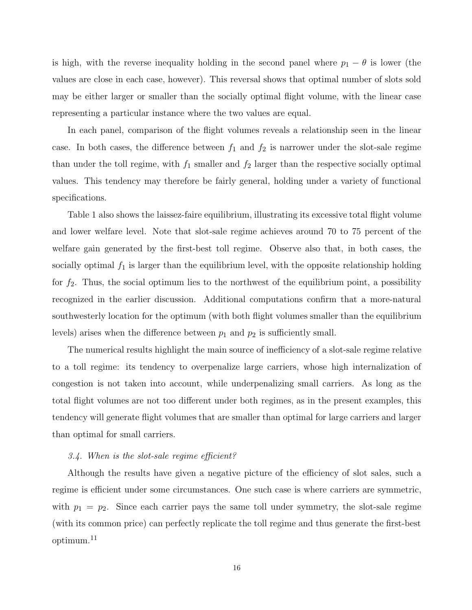is high, with the reverse inequality holding in the second panel where  $p_1 - \theta$  is lower (the values are close in each case, however). This reversal shows that optimal number of slots sold may be either larger or smaller than the socially optimal flight volume, with the linear case representing a particular instance where the two values are equal.

In each panel, comparison of the flight volumes reveals a relationship seen in the linear case. In both cases, the difference between  $f_1$  and  $f_2$  is narrower under the slot-sale regime than under the toll regime, with  $f_1$  smaller and  $f_2$  larger than the respective socially optimal values. This tendency may therefore be fairly general, holding under a variety of functional specifications.

Table 1 also shows the laissez-faire equilibrium, illustrating its excessive total flight volume and lower welfare level. Note that slot-sale regime achieves around 70 to 75 percent of the welfare gain generated by the first-best toll regime. Observe also that, in both cases, the socially optimal  $f_1$  is larger than the equilibrium level, with the opposite relationship holding for  $f_2$ . Thus, the social optimum lies to the northwest of the equilibrium point, a possibility recognized in the earlier discussion. Additional computations confirm that a more-natural southwesterly location for the optimum (with both flight volumes smaller than the equilibrium levels) arises when the difference between  $p_1$  and  $p_2$  is sufficiently small.

The numerical results highlight the main source of inefficiency of a slot-sale regime relative to a toll regime: its tendency to overpenalize large carriers, whose high internalization of congestion is not taken into account, while underpenalizing small carriers. As long as the total flight volumes are not too different under both regimes, as in the present examples, this tendency will generate flight volumes that are smaller than optimal for large carriers and larger than optimal for small carriers.

#### 3.4. When is the slot-sale regime efficient?

Although the results have given a negative picture of the efficiency of slot sales, such a regime is efficient under some circumstances. One such case is where carriers are symmetric, with  $p_1 = p_2$ . Since each carrier pays the same toll under symmetry, the slot-sale regime (with its common price) can perfectly replicate the toll regime and thus generate the first-best optimum.<sup>11</sup>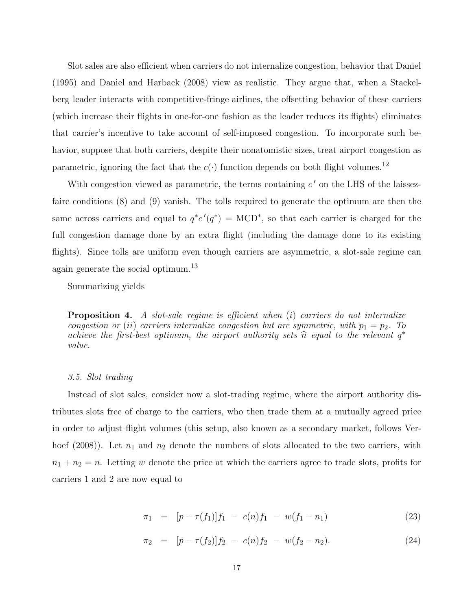Slot sales are also efficient when carriers do not internalize congestion, behavior that Daniel (1995) and Daniel and Harback (2008) view as realistic. They argue that, when a Stackelberg leader interacts with competitive-fringe airlines, the offsetting behavior of these carriers (which increase their flights in one-for-one fashion as the leader reduces its flights) eliminates that carrier's incentive to take account of self-imposed congestion. To incorporate such behavior, suppose that both carriers, despite their nonatomistic sizes, treat airport congestion as parametric, ignoring the fact that the  $c(\cdot)$  function depends on both flight volumes.  $^{12}$ 

With congestion viewed as parametric, the terms containing  $c'$  on the LHS of the laissezfaire conditions (8) and (9) vanish. The tolls required to generate the optimum are then the same across carriers and equal to  $q^*c'(q^*) = \text{MCD}^*$ , so that each carrier is charged for the full congestion damage done by an extra flight (including the damage done to its existing flights). Since tolls are uniform even though carriers are asymmetric, a slot-sale regime can again generate the social optimum.<sup>13</sup>

Summarizing yields

**Proposition 4.** A slot-sale regime is efficient when  $(i)$  carriers do not internalize congestion or (ii) carriers internalize congestion but are symmetric, with  $p_1 = p_2$ . To achieve the first-best optimum, the airport authority sets  $\hat{n}$  equal to the relevant  $q^*$ value.

#### 3.5. Slot trading

Instead of slot sales, consider now a slot-trading regime, where the airport authority distributes slots free of charge to the carriers, who then trade them at a mutually agreed price in order to adjust flight volumes (this setup, also known as a secondary market, follows Verhoef (2008)). Let  $n_1$  and  $n_2$  denote the numbers of slots allocated to the two carriers, with  $n_1 + n_2 = n$ . Letting w denote the price at which the carriers agree to trade slots, profits for carriers 1 and 2 are now equal to

$$
\pi_1 = [p - \tau(f_1)]f_1 - c(n)f_1 - w(f_1 - n_1) \tag{23}
$$

$$
\pi_2 = [p - \tau(f_2)]f_2 - c(n)f_2 - w(f_2 - n_2). \tag{24}
$$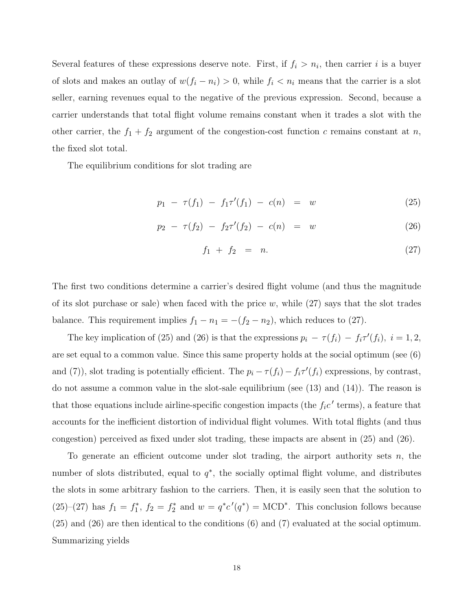Several features of these expressions deserve note. First, if  $f_i > n_i$ , then carrier i is a buyer of slots and makes an outlay of  $w(f_i - n_i) > 0$ , while  $f_i < n_i$  means that the carrier is a slot seller, earning revenues equal to the negative of the previous expression. Second, because a carrier understands that total flight volume remains constant when it trades a slot with the other carrier, the  $f_1 + f_2$  argument of the congestion-cost function c remains constant at n, the fixed slot total.

The equilibrium conditions for slot trading are

$$
p_1 - \tau(f_1) - f_1 \tau'(f_1) - c(n) = w \tag{25}
$$

$$
p_2 - \tau(f_2) - f_2 \tau'(f_2) - c(n) = w \tag{26}
$$

$$
f_1 + f_2 = n. \t\t(27)
$$

The first two conditions determine a carrier's desired flight volume (and thus the magnitude of its slot purchase or sale) when faced with the price w, while  $(27)$  says that the slot trades balance. This requirement implies  $f_1 - n_1 = -(f_2 - n_2)$ , which reduces to (27).

The key implication of (25) and (26) is that the expressions  $p_i - \tau(f_i) - f_i \tau'(f_i)$ ,  $i = 1, 2$ , are set equal to a common value. Since this same property holds at the social optimum (see (6) and (7)), slot trading is potentially efficient. The  $p_i - \tau(f_i) - f_i \tau'(f_i)$  expressions, by contrast, do not assume a common value in the slot-sale equilibrium (see (13) and (14)). The reason is that those equations include airline-specific congestion impacts (the  $f_i c'$  terms), a feature that accounts for the inefficient distortion of individual flight volumes. With total flights (and thus congestion) perceived as fixed under slot trading, these impacts are absent in (25) and (26).

To generate an efficient outcome under slot trading, the airport authority sets  $n$ , the number of slots distributed, equal to  $q^*$ , the socially optimal flight volume, and distributes the slots in some arbitrary fashion to the carriers. Then, it is easily seen that the solution to  $(25)-(27)$  has  $f_1 = f_1^*$ ,  $f_2 = f_2^*$  and  $w = q^*c'(q^*) = \text{MCD}^*$ . This conclusion follows because (25) and (26) are then identical to the conditions (6) and (7) evaluated at the social optimum. Summarizing yields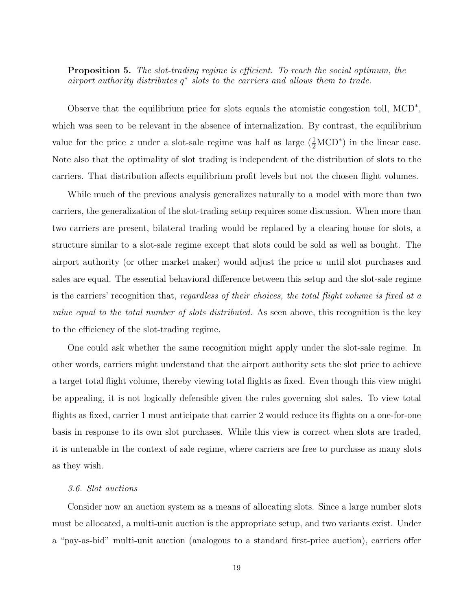**Proposition 5.** The slot-trading regime is efficient. To reach the social optimum, the airport authority distributes q ∗ slots to the carriers and allows them to trade.

Observe that the equilibrium price for slots equals the atomistic congestion toll,  $\text{MCD}^*$ , which was seen to be relevant in the absence of internalization. By contrast, the equilibrium value for the price z under a slot-sale regime was half as large  $(\frac{1}{2} MCD^*)$  in the linear case. Note also that the optimality of slot trading is independent of the distribution of slots to the carriers. That distribution affects equilibrium profit levels but not the chosen flight volumes.

While much of the previous analysis generalizes naturally to a model with more than two carriers, the generalization of the slot-trading setup requires some discussion. When more than two carriers are present, bilateral trading would be replaced by a clearing house for slots, a structure similar to a slot-sale regime except that slots could be sold as well as bought. The airport authority (or other market maker) would adjust the price  $w$  until slot purchases and sales are equal. The essential behavioral difference between this setup and the slot-sale regime is the carriers' recognition that, regardless of their choices, the total flight volume is fixed at a value equal to the total number of slots distributed. As seen above, this recognition is the key to the efficiency of the slot-trading regime.

One could ask whether the same recognition might apply under the slot-sale regime. In other words, carriers might understand that the airport authority sets the slot price to achieve a target total flight volume, thereby viewing total flights as fixed. Even though this view might be appealing, it is not logically defensible given the rules governing slot sales. To view total flights as fixed, carrier 1 must anticipate that carrier 2 would reduce its flights on a one-for-one basis in response to its own slot purchases. While this view is correct when slots are traded, it is untenable in the context of sale regime, where carriers are free to purchase as many slots as they wish.

#### 3.6. Slot auctions

Consider now an auction system as a means of allocating slots. Since a large number slots must be allocated, a multi-unit auction is the appropriate setup, and two variants exist. Under a "pay-as-bid" multi-unit auction (analogous to a standard first-price auction), carriers offer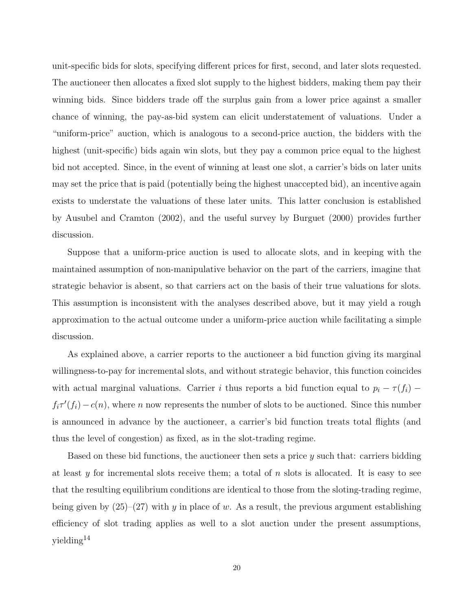unit-specific bids for slots, specifying different prices for first, second, and later slots requested. The auctioneer then allocates a fixed slot supply to the highest bidders, making them pay their winning bids. Since bidders trade off the surplus gain from a lower price against a smaller chance of winning, the pay-as-bid system can elicit understatement of valuations. Under a "uniform-price" auction, which is analogous to a second-price auction, the bidders with the highest (unit-specific) bids again win slots, but they pay a common price equal to the highest bid not accepted. Since, in the event of winning at least one slot, a carrier's bids on later units may set the price that is paid (potentially being the highest unaccepted bid), an incentive again exists to understate the valuations of these later units. This latter conclusion is established by Ausubel and Cramton (2002), and the useful survey by Burguet (2000) provides further discussion.

Suppose that a uniform-price auction is used to allocate slots, and in keeping with the maintained assumption of non-manipulative behavior on the part of the carriers, imagine that strategic behavior is absent, so that carriers act on the basis of their true valuations for slots. This assumption is inconsistent with the analyses described above, but it may yield a rough approximation to the actual outcome under a uniform-price auction while facilitating a simple discussion.

As explained above, a carrier reports to the auctioneer a bid function giving its marginal willingness-to-pay for incremental slots, and without strategic behavior, this function coincides with actual marginal valuations. Carrier i thus reports a bid function equal to  $p_i - \tau(f_i)$  –  $f_i\tau'(f_i) - c(n)$ , where n now represents the number of slots to be auctioned. Since this number is announced in advance by the auctioneer, a carrier's bid function treats total flights (and thus the level of congestion) as fixed, as in the slot-trading regime.

Based on these bid functions, the auctioneer then sets a price  $y$  such that: carriers bidding at least y for incremental slots receive them; a total of n slots is allocated. It is easy to see that the resulting equilibrium conditions are identical to those from the sloting-trading regime, being given by  $(25)-(27)$  with y in place of w. As a result, the previous argument establishing efficiency of slot trading applies as well to a slot auction under the present assumptions, yielding<sup>14</sup>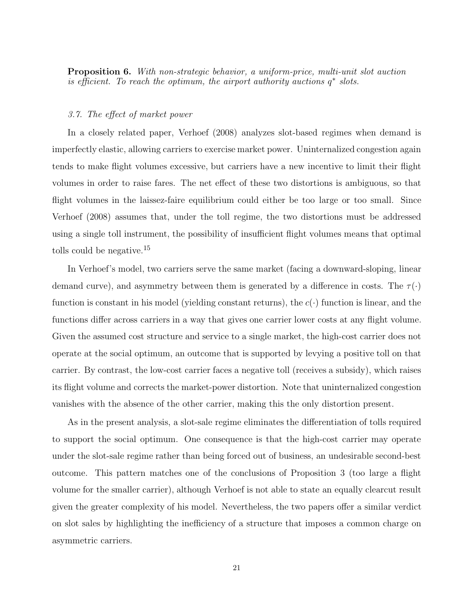Proposition 6. With non-strategic behavior, a uniform-price, multi-unit slot auction  $\epsilon$  is efficient. To reach the optimum, the airport authority auctions  $q^*$  slots.

#### 3.7. The effect of market power

In a closely related paper, Verhoef (2008) analyzes slot-based regimes when demand is imperfectly elastic, allowing carriers to exercise market power. Uninternalized congestion again tends to make flight volumes excessive, but carriers have a new incentive to limit their flight volumes in order to raise fares. The net effect of these two distortions is ambiguous, so that flight volumes in the laissez-faire equilibrium could either be too large or too small. Since Verhoef (2008) assumes that, under the toll regime, the two distortions must be addressed using a single toll instrument, the possibility of insufficient flight volumes means that optimal tolls could be negative.<sup>15</sup>

In Verhoef's model, two carriers serve the same market (facing a downward-sloping, linear demand curve), and asymmetry between them is generated by a difference in costs. The  $\tau(\cdot)$ function is constant in his model (yielding constant returns), the  $c(\cdot)$  function is linear, and the functions differ across carriers in a way that gives one carrier lower costs at any flight volume. Given the assumed cost structure and service to a single market, the high-cost carrier does not operate at the social optimum, an outcome that is supported by levying a positive toll on that carrier. By contrast, the low-cost carrier faces a negative toll (receives a subsidy), which raises its flight volume and corrects the market-power distortion. Note that uninternalized congestion vanishes with the absence of the other carrier, making this the only distortion present.

As in the present analysis, a slot-sale regime eliminates the differentiation of tolls required to support the social optimum. One consequence is that the high-cost carrier may operate under the slot-sale regime rather than being forced out of business, an undesirable second-best outcome. This pattern matches one of the conclusions of Proposition 3 (too large a flight volume for the smaller carrier), although Verhoef is not able to state an equally clearcut result given the greater complexity of his model. Nevertheless, the two papers offer a similar verdict on slot sales by highlighting the inefficiency of a structure that imposes a common charge on asymmetric carriers.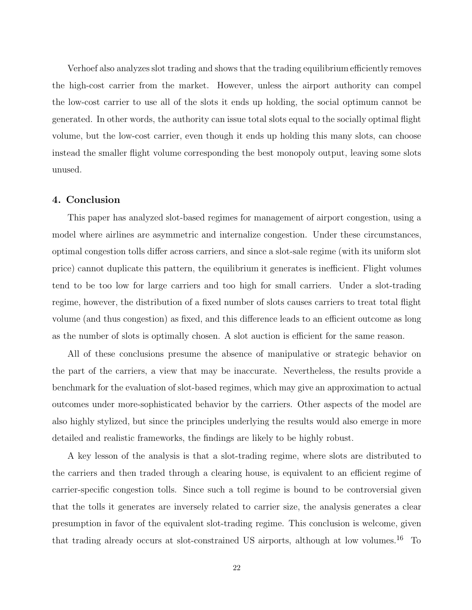Verhoef also analyzes slot trading and shows that the trading equilibrium efficiently removes the high-cost carrier from the market. However, unless the airport authority can compel the low-cost carrier to use all of the slots it ends up holding, the social optimum cannot be generated. In other words, the authority can issue total slots equal to the socially optimal flight volume, but the low-cost carrier, even though it ends up holding this many slots, can choose instead the smaller flight volume corresponding the best monopoly output, leaving some slots unused.

#### 4. Conclusion

This paper has analyzed slot-based regimes for management of airport congestion, using a model where airlines are asymmetric and internalize congestion. Under these circumstances, optimal congestion tolls differ across carriers, and since a slot-sale regime (with its uniform slot price) cannot duplicate this pattern, the equilibrium it generates is inefficient. Flight volumes tend to be too low for large carriers and too high for small carriers. Under a slot-trading regime, however, the distribution of a fixed number of slots causes carriers to treat total flight volume (and thus congestion) as fixed, and this difference leads to an efficient outcome as long as the number of slots is optimally chosen. A slot auction is efficient for the same reason.

All of these conclusions presume the absence of manipulative or strategic behavior on the part of the carriers, a view that may be inaccurate. Nevertheless, the results provide a benchmark for the evaluation of slot-based regimes, which may give an approximation to actual outcomes under more-sophisticated behavior by the carriers. Other aspects of the model are also highly stylized, but since the principles underlying the results would also emerge in more detailed and realistic frameworks, the findings are likely to be highly robust.

A key lesson of the analysis is that a slot-trading regime, where slots are distributed to the carriers and then traded through a clearing house, is equivalent to an efficient regime of carrier-specific congestion tolls. Since such a toll regime is bound to be controversial given that the tolls it generates are inversely related to carrier size, the analysis generates a clear presumption in favor of the equivalent slot-trading regime. This conclusion is welcome, given that trading already occurs at slot-constrained US airports, although at low volumes.<sup>16</sup> To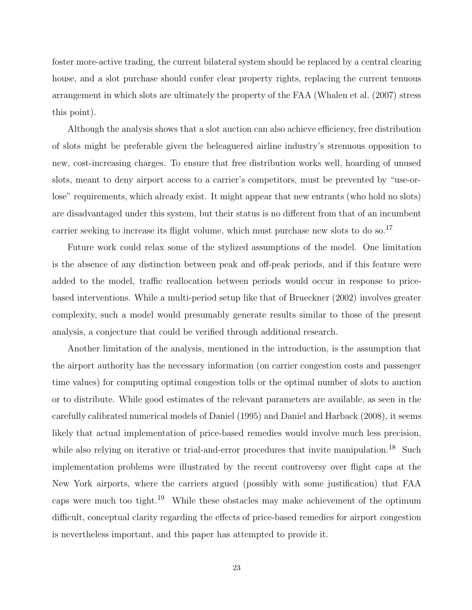foster more-active trading, the current bilateral system should be replaced by a central clearing house, and a slot purchase should confer clear property rights, replacing the current tenuous arrangement in which slots are ultimately the property of the FAA (Whalen et al. (2007) stress this point).

Although the analysis shows that a slot auction can also achieve efficiency, free distribution of slots might be preferable given the beleaguered airline industry's strenuous opposition to new, cost-increasing charges. To ensure that free distribution works well, hoarding of unused slots, meant to deny airport access to a carrier's competitors, must be prevented by "use-orlose" requirements, which already exist. It might appear that new entrants (who hold no slots) are disadvantaged under this system, but their status is no different from that of an incumbent carrier seeking to increase its flight volume, which must purchase new slots to do so.<sup>17</sup>

Future work could relax some of the stylized assumptions of the model. One limitation is the absence of any distinction between peak and off-peak periods, and if this feature were added to the model, traffic reallocation between periods would occur in response to pricebased interventions. While a multi-period setup like that of Brueckner (2002) involves greater complexity, such a model would presumably generate results similar to those of the present analysis, a conjecture that could be verified through additional research.

Another limitation of the analysis, mentioned in the introduction, is the assumption that the airport authority has the necessary information (on carrier congestion costs and passenger time values) for computing optimal congestion tolls or the optimal number of slots to auction or to distribute. While good estimates of the relevant parameters are available, as seen in the carefully calibrated numerical models of Daniel (1995) and Daniel and Harback (2008), it seems likely that actual implementation of price-based remedies would involve much less precision, while also relying on iterative or trial-and-error procedures that invite manipulation.<sup>18</sup> Such implementation problems were illustrated by the recent controversy over flight caps at the New York airports, where the carriers argued (possibly with some justification) that FAA caps were much too tight.<sup>19</sup> While these obstacles may make achievement of the optimum difficult, conceptual clarity regarding the effects of price-based remedies for airport congestion is nevertheless important, and this paper has attempted to provide it.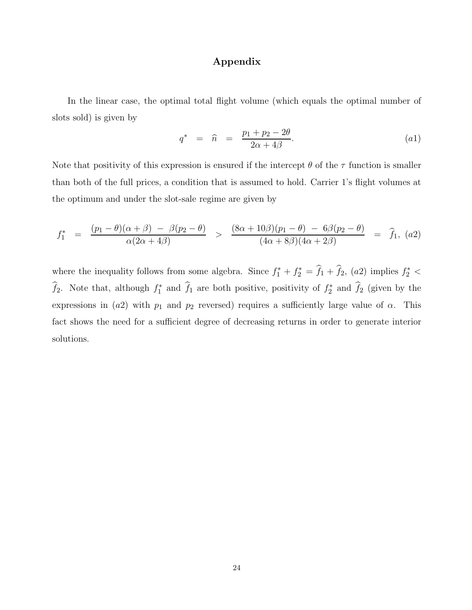## Appendix

In the linear case, the optimal total flight volume (which equals the optimal number of slots sold) is given by

$$
q^* = \widehat{n} = \frac{p_1 + p_2 - 2\theta}{2\alpha + 4\beta}.
$$
 (a1)

Note that positivity of this expression is ensured if the intercept  $\theta$  of the  $\tau$  function is smaller than both of the full prices, a condition that is assumed to hold. Carrier 1's flight volumes at the optimum and under the slot-sale regime are given by

$$
f_1^* = \frac{(p_1 - \theta)(\alpha + \beta) - \beta(p_2 - \theta)}{\alpha(2\alpha + 4\beta)} > \frac{(8\alpha + 10\beta)(p_1 - \theta) - 6\beta(p_2 - \theta)}{(4\alpha + 8\beta)(4\alpha + 2\beta)} = \hat{f}_1, (a2)
$$

where the inequality follows from some algebra. Since  $f_1^* + f_2^* = \hat{f}_1 + \hat{f}_2$ , (a2) implies  $f_2^*$  <  $\hat{f}_2$ . Note that, although  $f_1^*$  and  $\hat{f}_1$  are both positive, positivity of  $f_2^*$  and  $\hat{f}_2$  (given by the expressions in (a2) with  $p_1$  and  $p_2$  reversed) requires a sufficiently large value of  $\alpha$ . This fact shows the need for a sufficient degree of decreasing returns in order to generate interior solutions.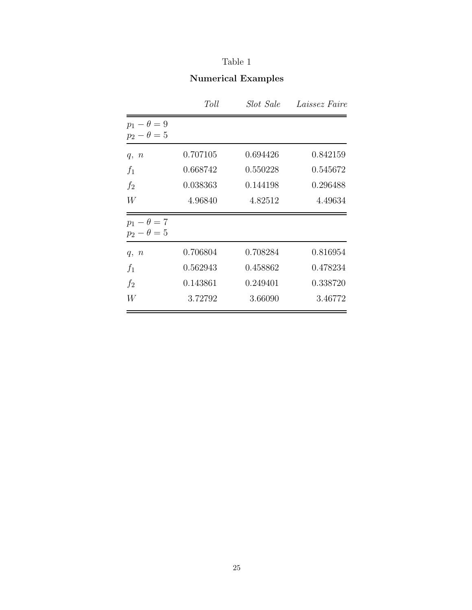## Table 1

# Numerical Examples

|                                          | Toll     | Slot Sale | Laissez Faire |
|------------------------------------------|----------|-----------|---------------|
| $p_1 - \theta = 9$<br>$p_2 - \theta = 5$ |          |           |               |
| q, n                                     | 0.707105 | 0.694426  | 0.842159      |
| $f_1$                                    | 0.668742 | 0.550228  | 0.545672      |
| $f_2$                                    | 0.038363 | 0.144198  | 0.296488      |
| W                                        | 4.96840  | 4.82512   | 4.49634       |
| $p_1 - \theta = 7$<br>$p_2 - \theta = 5$ |          |           |               |
| q, n                                     | 0.706804 | 0.708284  | 0.816954      |
| $f_1$                                    | 0.562943 | 0.458862  | 0.478234      |
| f <sub>2</sub>                           | 0.143861 | 0.249401  | 0.338720      |
| W                                        | 3.72792  | 3.66090   | 3.46772       |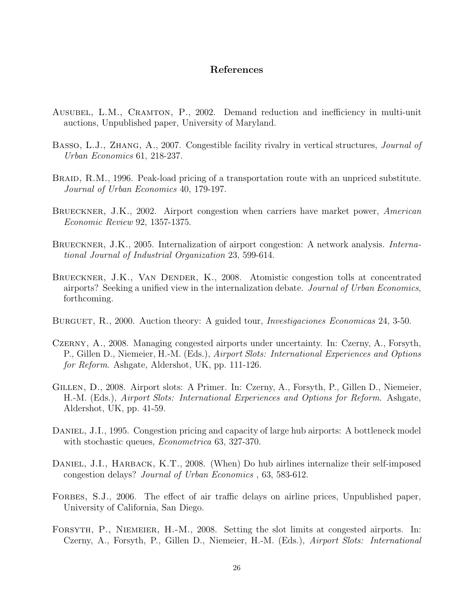## References

- Ausubel, L.M., Cramton, P., 2002. Demand reduction and inefficiency in multi-unit auctions, Unpublished paper, University of Maryland.
- BASSO, L.J., ZHANG, A., 2007. Congestible facility rivalry in vertical structures, *Journal of* Urban Economics 61, 218-237.
- BRAID, R.M., 1996. Peak-load pricing of a transportation route with an unpriced substitute. Journal of Urban Economics 40, 179-197.
- BRUECKNER, J.K., 2002. Airport congestion when carriers have market power, American Economic Review 92, 1357-1375.
- BRUECKNER, J.K., 2005. Internalization of airport congestion: A network analysis. *Interna*tional Journal of Industrial Organization 23, 599-614.
- BRUECKNER, J.K., VAN DENDER, K., 2008. Atomistic congestion tolls at concentrated airports? Seeking a unified view in the internalization debate. Journal of Urban Economics, forthcoming.
- BURGUET, R., 2000. Auction theory: A guided tour, *Investigaciones Economicas* 24, 3-50.
- Czerny, A., 2008. Managing congested airports under uncertainty. In: Czerny, A., Forsyth, P., Gillen D., Niemeier, H.-M. (Eds.), Airport Slots: International Experiences and Options for Reform. Ashgate, Aldershot, UK, pp. 111-126.
- Gillen, D., 2008. Airport slots: A Primer. In: Czerny, A., Forsyth, P., Gillen D., Niemeier, H.-M. (Eds.), Airport Slots: International Experiences and Options for Reform. Ashgate, Aldershot, UK, pp. 41-59.
- DANIEL, J.I., 1995. Congestion pricing and capacity of large hub airports: A bottleneck model with stochastic queues, *Econometrica* 63, 327-370.
- DANIEL, J.I., HARBACK, K.T., 2008. (When) Do hub airlines internalize their self-imposed congestion delays? Journal of Urban Economics , 63, 583-612.
- FORBES, S.J., 2006. The effect of air traffic delays on airline prices, Unpublished paper, University of California, San Diego.
- FORSYTH, P., NIEMEIER, H.-M., 2008. Setting the slot limits at congested airports. In: Czerny, A., Forsyth, P., Gillen D., Niemeier, H.-M. (Eds.), Airport Slots: International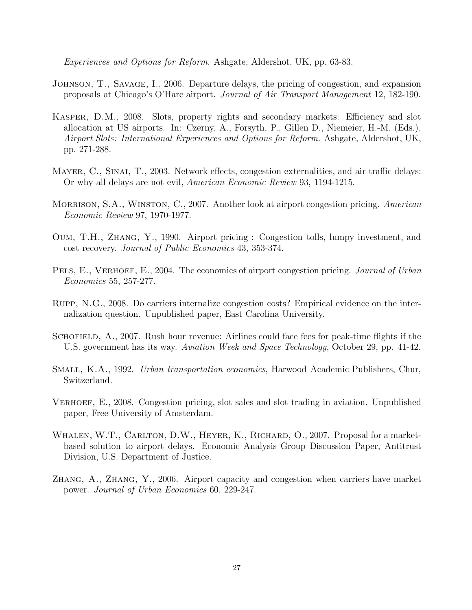Experiences and Options for Reform. Ashgate, Aldershot, UK, pp. 63-83.

- Johnson, T., Savage, I., 2006. Departure delays, the pricing of congestion, and expansion proposals at Chicago's O'Hare airport. Journal of Air Transport Management 12, 182-190.
- Kasper, D.M., 2008. Slots, property rights and secondary markets: Efficiency and slot allocation at US airports. In: Czerny, A., Forsyth, P., Gillen D., Niemeier, H.-M. (Eds.), Airport Slots: International Experiences and Options for Reform. Ashgate, Aldershot, UK, pp. 271-288.
- MAYER, C., SINAI, T., 2003. Network effects, congestion externalities, and air traffic delays: Or why all delays are not evil, American Economic Review 93, 1194-1215.
- MORRISON, S.A., WINSTON, C., 2007. Another look at airport congestion pricing. American Economic Review 97, 1970-1977.
- Oum, T.H., Zhang, Y., 1990. Airport pricing : Congestion tolls, lumpy investment, and cost recovery. Journal of Public Economics 43, 353-374.
- PELS, E., VERHOEF, E., 2004. The economics of airport congestion pricing. Journal of Urban Economics 55, 257-277.
- Rupp, N.G., 2008. Do carriers internalize congestion costs? Empirical evidence on the internalization question. Unpublished paper, East Carolina University.
- SCHOFIELD, A., 2007. Rush hour revenue: Airlines could face fees for peak-time flights if the U.S. government has its way. Aviation Week and Space Technology, October 29, pp. 41-42.
- Small, K.A., 1992. Urban transportation economics, Harwood Academic Publishers, Chur, Switzerland.
- VERHOEF, E., 2008. Congestion pricing, slot sales and slot trading in aviation. Unpublished paper, Free University of Amsterdam.
- WHALEN, W.T., CARLTON, D.W., HEYER, K., RICHARD, O., 2007. Proposal for a marketbased solution to airport delays. Economic Analysis Group Discussion Paper, Antitrust Division, U.S. Department of Justice.
- Zhang, A., Zhang, Y., 2006. Airport capacity and congestion when carriers have market power. Journal of Urban Economics 60, 229-247.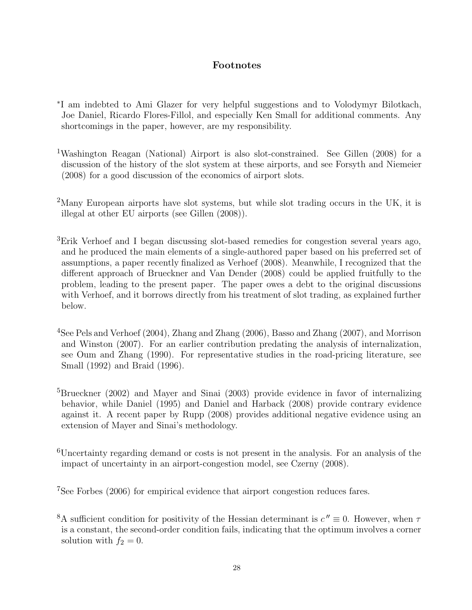## Footnotes

- ∗ I am indebted to Ami Glazer for very helpful suggestions and to Volodymyr Bilotkach, Joe Daniel, Ricardo Flores-Fillol, and especially Ken Small for additional comments. Any shortcomings in the paper, however, are my responsibility.
- <sup>1</sup>Washington Reagan (National) Airport is also slot-constrained. See Gillen (2008) for a discussion of the history of the slot system at these airports, and see Forsyth and Niemeier (2008) for a good discussion of the economics of airport slots.
- <sup>2</sup>Many European airports have slot systems, but while slot trading occurs in the UK, it is illegal at other EU airports (see Gillen (2008)).
- <sup>3</sup>Erik Verhoef and I began discussing slot-based remedies for congestion several years ago, and he produced the main elements of a single-authored paper based on his preferred set of assumptions, a paper recently finalized as Verhoef (2008). Meanwhile, I recognized that the different approach of Brueckner and Van Dender (2008) could be applied fruitfully to the problem, leading to the present paper. The paper owes a debt to the original discussions with Verhoef, and it borrows directly from his treatment of slot trading, as explained further below.
- <sup>4</sup>See Pels and Verhoef (2004), Zhang and Zhang (2006), Basso and Zhang (2007), and Morrison and Winston (2007). For an earlier contribution predating the analysis of internalization, see Oum and Zhang (1990). For representative studies in the road-pricing literature, see Small (1992) and Braid (1996).
- <sup>5</sup>Brueckner (2002) and Mayer and Sinai (2003) provide evidence in favor of internalizing behavior, while Daniel (1995) and Daniel and Harback (2008) provide contrary evidence against it. A recent paper by Rupp (2008) provides additional negative evidence using an extension of Mayer and Sinai's methodology.
- <sup>6</sup>Uncertainty regarding demand or costs is not present in the analysis. For an analysis of the impact of uncertainty in an airport-congestion model, see Czerny (2008).

<sup>7</sup>See Forbes (2006) for empirical evidence that airport congestion reduces fares.

<sup>8</sup>A sufficient condition for positivity of the Hessian determinant is  $c'' \equiv 0$ . However, when  $\tau$ is a constant, the second-order condition fails, indicating that the optimum involves a corner solution with  $f_2 = 0$ .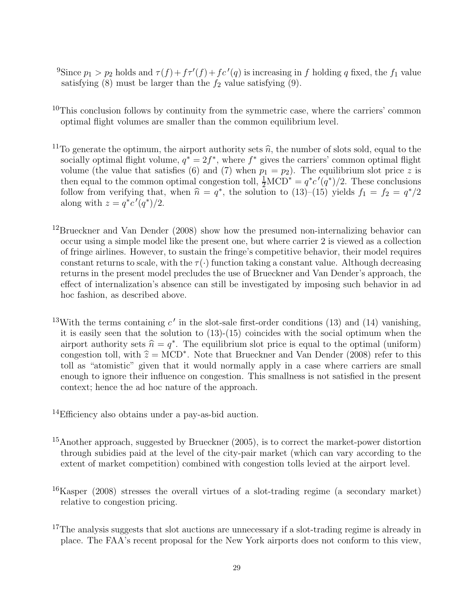- <sup>9</sup>Since  $p_1 > p_2$  holds and  $\tau(f) + f\tau'(f) + f c'(q)$  is increasing in f holding q fixed, the f<sub>1</sub> value satisfying  $(8)$  must be larger than the  $f_2$  value satisfying  $(9)$ .
- $10$ This conclusion follows by continuity from the symmetric case, where the carriers' common optimal flight volumes are smaller than the common equilibrium level.
- <sup>11</sup>To generate the optimum, the airport authority sets  $\hat{n}$ , the number of slots sold, equal to the socially optimal flight volume,  $q^* = 2f^*$ , where  $f^*$  gives the carriers' common optimal flight volume (the value that satisfies (6) and (7) when  $p_1 = p_2$ ). The equilibrium slot price z is then equal to the common optimal congestion toll,  $\frac{1}{2} MCD^* = q^* c' (q^*)/2$ . These conclusions follow from verifying that, when  $\hat{n} = q^*$ , the solution to  $(13)$ – $(15)$  yields  $f_1 = f_2 = q^*/2$ along with  $z = q^*c'(q^*)/2$ .
- <sup>12</sup>Brueckner and Van Dender (2008) show how the presumed non-internalizing behavior can occur using a simple model like the present one, but where carrier 2 is viewed as a collection of fringe airlines. However, to sustain the fringe's competitive behavior, their model requires constant returns to scale, with the  $\tau(\cdot)$  function taking a constant value. Although decreasing returns in the present model precludes the use of Brueckner and Van Dender's approach, the effect of internalization's absence can still be investigated by imposing such behavior in ad hoc fashion, as described above.
- <sup>13</sup>With the terms containing  $c'$  in the slot-sale first-order conditions (13) and (14) vanishing, it is easily seen that the solution to (13)-(15) coincides with the social optimum when the airport authority sets  $\hat{n} = q^*$ . The equilibrium slot price is equal to the optimal (uniform) congestion toll, with  $\hat{z} = \text{MCD}^*$ . Note that Brueckner and Van Dender (2008) refer to this toll as "atomistic" given that it would normally apply in a case where carriers are small enough to ignore their influence on congestion. This smallness is not satisfied in the present context; hence the ad hoc nature of the approach.
- <sup>14</sup>Efficiency also obtains under a pay-as-bid auction.
- <sup>15</sup>Another approach, suggested by Brueckner (2005), is to correct the market-power distortion through subidies paid at the level of the city-pair market (which can vary according to the extent of market competition) combined with congestion tolls levied at the airport level.
- <sup>16</sup>Kasper (2008) stresses the overall virtues of a slot-trading regime (a secondary market) relative to congestion pricing.
- <sup>17</sup>The analysis suggests that slot auctions are unnecessary if a slot-trading regime is already in place. The FAA's recent proposal for the New York airports does not conform to this view,